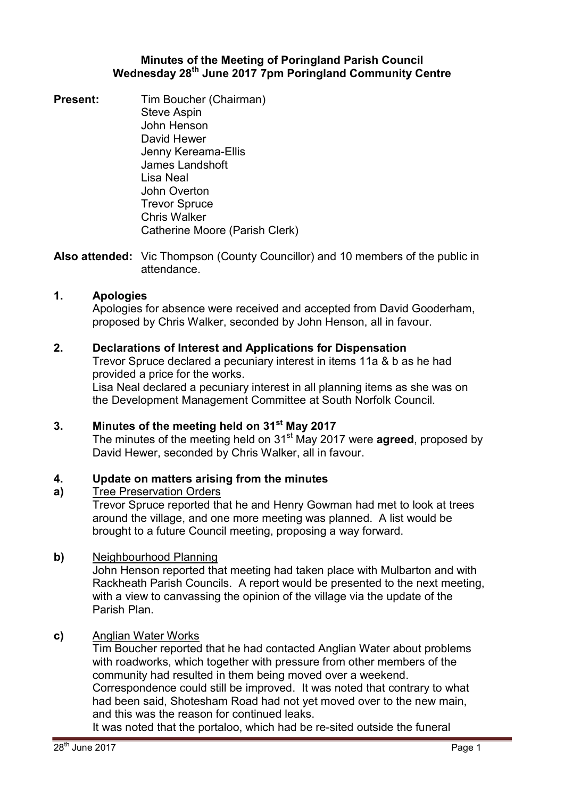## **Minutes of the Meeting of Poringland Parish Council Wednesday 28th June 2017 7pm Poringland Community Centre**

**Present:** Tim Boucher (Chairman) Steve Aspin John Henson David Hewer Jenny Kereama-Ellis James Landshoft Lisa Neal John Overton Trevor Spruce Chris Walker Catherine Moore (Parish Clerk)

**Also attended:** Vic Thompson (County Councillor) and 10 members of the public in attendance.

## **1. Apologies**

Apologies for absence were received and accepted from David Gooderham, proposed by Chris Walker, seconded by John Henson, all in favour.

## **2. Declarations of Interest and Applications for Dispensation**

Trevor Spruce declared a pecuniary interest in items 11a & b as he had provided a price for the works.

Lisa Neal declared a pecuniary interest in all planning items as she was on the Development Management Committee at South Norfolk Council.

**3. Minutes of the meeting held on 31st May 2017** The minutes of the meeting held on 31<sup>st</sup> May 2017 were **agreed**, proposed by David Hewer, seconded by Chris Walker, all in favour.

#### **4. Update on matters arising from the minutes**

#### **a)**  Tree Preservation Orders

Trevor Spruce reported that he and Henry Gowman had met to look at trees around the village, and one more meeting was planned. A list would be brought to a future Council meeting, proposing a way forward.

#### **b)** Neighbourhood Planning

John Henson reported that meeting had taken place with Mulbarton and with Rackheath Parish Councils. A report would be presented to the next meeting, with a view to canvassing the opinion of the village via the update of the Parish Plan.

## **c)** Anglian Water Works

Tim Boucher reported that he had contacted Anglian Water about problems with roadworks, which together with pressure from other members of the community had resulted in them being moved over a weekend.

Correspondence could still be improved. It was noted that contrary to what had been said, Shotesham Road had not yet moved over to the new main, and this was the reason for continued leaks.

It was noted that the portaloo, which had be re-sited outside the funeral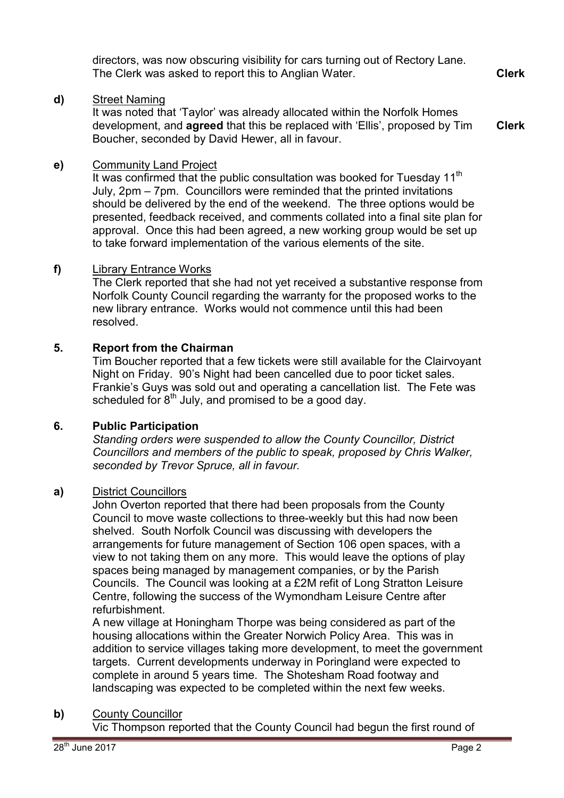directors, was now obscuring visibility for cars turning out of Rectory Lane. The Clerk was asked to report this to Anglian Water. **Clerk**

### **d)** Street Naming

It was noted that 'Taylor' was already allocated within the Norfolk Homes development, and **agreed** that this be replaced with 'Ellis', proposed by Tim Boucher, seconded by David Hewer, all in favour. **Clerk**

## **e)** Community Land Project

It was confirmed that the public consultation was booked for Tuesday  $11<sup>th</sup>$ July, 2pm – 7pm. Councillors were reminded that the printed invitations should be delivered by the end of the weekend. The three options would be presented, feedback received, and comments collated into a final site plan for approval. Once this had been agreed, a new working group would be set up to take forward implementation of the various elements of the site.

#### **f)** Library Entrance Works

The Clerk reported that she had not yet received a substantive response from Norfolk County Council regarding the warranty for the proposed works to the new library entrance. Works would not commence until this had been resolved.

### **5. Report from the Chairman**

Tim Boucher reported that a few tickets were still available for the Clairvoyant Night on Friday. 90's Night had been cancelled due to poor ticket sales. Frankie's Guys was sold out and operating a cancellation list. The Fete was scheduled for  $8<sup>th</sup>$  July, and promised to be a good day.

#### **6. Public Participation**

*Standing orders were suspended to allow the County Councillor, District Councillors and members of the public to speak, proposed by Chris Walker, seconded by Trevor Spruce, all in favour.* 

#### **a)** District Councillors

John Overton reported that there had been proposals from the County Council to move waste collections to three-weekly but this had now been shelved. South Norfolk Council was discussing with developers the arrangements for future management of Section 106 open spaces, with a view to not taking them on any more. This would leave the options of play spaces being managed by management companies, or by the Parish Councils. The Council was looking at a £2M refit of Long Stratton Leisure Centre, following the success of the Wymondham Leisure Centre after refurbishment.

A new village at Honingham Thorpe was being considered as part of the housing allocations within the Greater Norwich Policy Area. This was in addition to service villages taking more development, to meet the government targets. Current developments underway in Poringland were expected to complete in around 5 years time. The Shotesham Road footway and landscaping was expected to be completed within the next few weeks.

#### **b)** County Councillor

Vic Thompson reported that the County Council had begun the first round of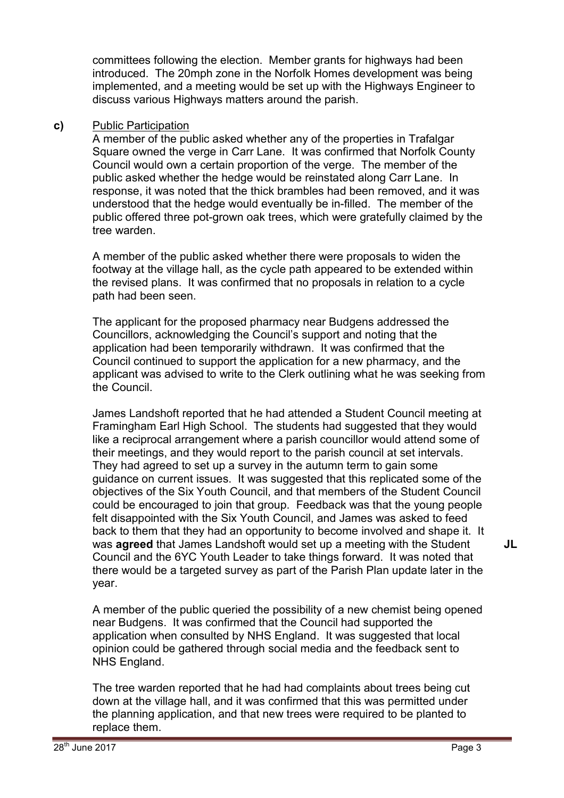committees following the election. Member grants for highways had been introduced. The 20mph zone in the Norfolk Homes development was being implemented, and a meeting would be set up with the Highways Engineer to discuss various Highways matters around the parish.

### **c)** Public Participation

A member of the public asked whether any of the properties in Trafalgar Square owned the verge in Carr Lane. It was confirmed that Norfolk County Council would own a certain proportion of the verge. The member of the public asked whether the hedge would be reinstated along Carr Lane. In response, it was noted that the thick brambles had been removed, and it was understood that the hedge would eventually be in-filled. The member of the public offered three pot-grown oak trees, which were gratefully claimed by the tree warden.

A member of the public asked whether there were proposals to widen the footway at the village hall, as the cycle path appeared to be extended within the revised plans. It was confirmed that no proposals in relation to a cycle path had been seen.

The applicant for the proposed pharmacy near Budgens addressed the Councillors, acknowledging the Council's support and noting that the application had been temporarily withdrawn. It was confirmed that the Council continued to support the application for a new pharmacy, and the applicant was advised to write to the Clerk outlining what he was seeking from the Council.

James Landshoft reported that he had attended a Student Council meeting at Framingham Earl High School. The students had suggested that they would like a reciprocal arrangement where a parish councillor would attend some of their meetings, and they would report to the parish council at set intervals. They had agreed to set up a survey in the autumn term to gain some guidance on current issues. It was suggested that this replicated some of the objectives of the Six Youth Council, and that members of the Student Council could be encouraged to join that group. Feedback was that the young people felt disappointed with the Six Youth Council, and James was asked to feed back to them that they had an opportunity to become involved and shape it. It was **agreed** that James Landshoft would set up a meeting with the Student Council and the 6YC Youth Leader to take things forward. It was noted that there would be a targeted survey as part of the Parish Plan update later in the year.

A member of the public queried the possibility of a new chemist being opened near Budgens. It was confirmed that the Council had supported the application when consulted by NHS England. It was suggested that local opinion could be gathered through social media and the feedback sent to NHS England.

The tree warden reported that he had had complaints about trees being cut down at the village hall, and it was confirmed that this was permitted under the planning application, and that new trees were required to be planted to replace them.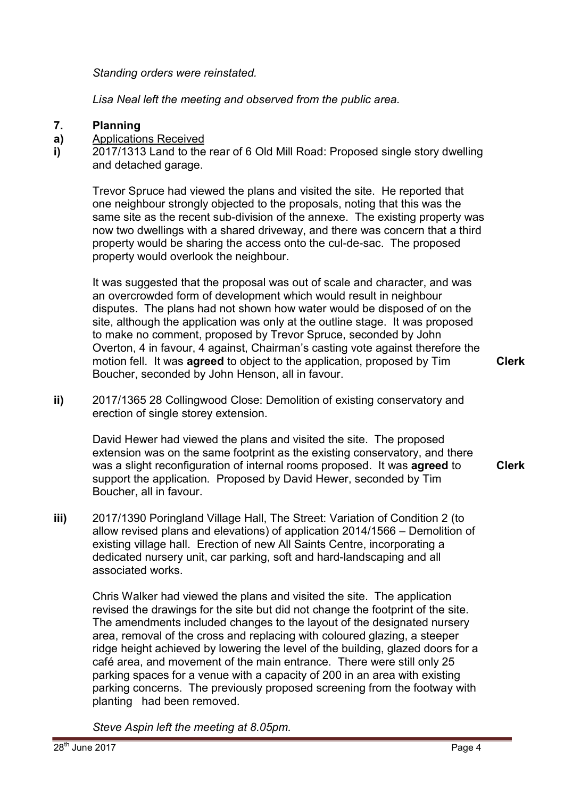*Standing orders were reinstated.* 

*Lisa Neal left the meeting and observed from the public area.* 

#### **7. Planning**

#### **a)**  Applications Received

**i)**  2017/1313 Land to the rear of 6 Old Mill Road: Proposed single story dwelling and detached garage.

Trevor Spruce had viewed the plans and visited the site. He reported that one neighbour strongly objected to the proposals, noting that this was the same site as the recent sub-division of the annexe. The existing property was now two dwellings with a shared driveway, and there was concern that a third property would be sharing the access onto the cul-de-sac. The proposed property would overlook the neighbour.

It was suggested that the proposal was out of scale and character, and was an overcrowded form of development which would result in neighbour disputes. The plans had not shown how water would be disposed of on the site, although the application was only at the outline stage. It was proposed to make no comment, proposed by Trevor Spruce, seconded by John Overton, 4 in favour, 4 against, Chairman's casting vote against therefore the motion fell. It was **agreed** to object to the application, proposed by Tim Boucher, seconded by John Henson, all in favour.

**Clerk**

**Clerk**

**ii)** 2017/1365 28 Collingwood Close: Demolition of existing conservatory and erection of single storey extension.

David Hewer had viewed the plans and visited the site. The proposed extension was on the same footprint as the existing conservatory, and there was a slight reconfiguration of internal rooms proposed. It was **agreed** to support the application. Proposed by David Hewer, seconded by Tim Boucher, all in favour.

**iii)** 2017/1390 Poringland Village Hall, The Street: Variation of Condition 2 (to allow revised plans and elevations) of application 2014/1566 – Demolition of existing village hall. Erection of new All Saints Centre, incorporating a dedicated nursery unit, car parking, soft and hard-landscaping and all associated works.

Chris Walker had viewed the plans and visited the site. The application revised the drawings for the site but did not change the footprint of the site. The amendments included changes to the layout of the designated nursery area, removal of the cross and replacing with coloured glazing, a steeper ridge height achieved by lowering the level of the building, glazed doors for a café area, and movement of the main entrance. There were still only 25 parking spaces for a venue with a capacity of 200 in an area with existing parking concerns. The previously proposed screening from the footway with planting had been removed.

*Steve Aspin left the meeting at 8.05pm.*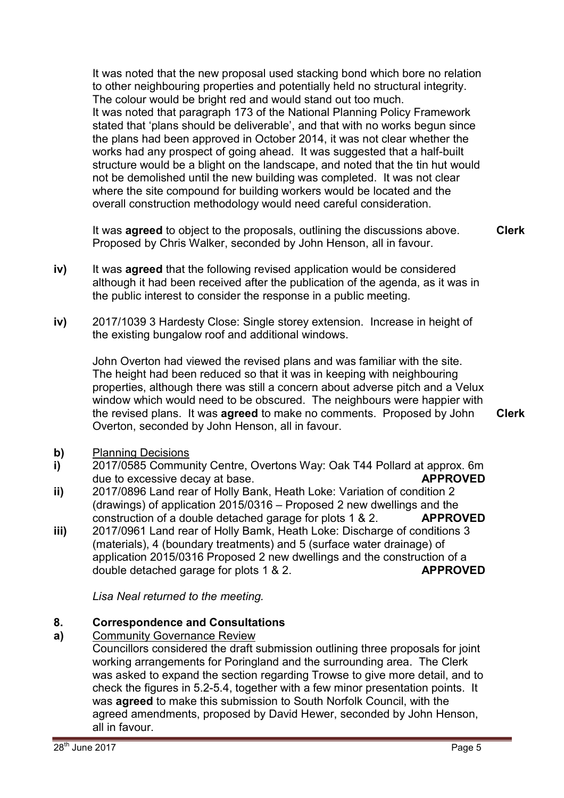It was noted that the new proposal used stacking bond which bore no relation to other neighbouring properties and potentially held no structural integrity. The colour would be bright red and would stand out too much. It was noted that paragraph 173 of the National Planning Policy Framework stated that 'plans should be deliverable', and that with no works begun since the plans had been approved in October 2014, it was not clear whether the works had any prospect of going ahead. It was suggested that a half-built structure would be a blight on the landscape, and noted that the tin hut would not be demolished until the new building was completed. It was not clear where the site compound for building workers would be located and the overall construction methodology would need careful consideration.

It was **agreed** to object to the proposals, outlining the discussions above. Proposed by Chris Walker, seconded by John Henson, all in favour. **Clerk**

- **iv)** It was **agreed** that the following revised application would be considered although it had been received after the publication of the agenda, as it was in the public interest to consider the response in a public meeting.
- **iv)** 2017/1039 3 Hardesty Close: Single storey extension. Increase in height of the existing bungalow roof and additional windows.

John Overton had viewed the revised plans and was familiar with the site. The height had been reduced so that it was in keeping with neighbouring properties, although there was still a concern about adverse pitch and a Velux window which would need to be obscured. The neighbours were happier with the revised plans. It was **agreed** to make no comments. Proposed by John Overton, seconded by John Henson, all in favour.

**Clerk**

- **b)** Planning Decisions
- **i)**  2017/0585 Community Centre, Overtons Way: Oak T44 Pollard at approx. 6m due to excessive decay at base. **APPROVED**
- **ii)**  2017/0896 Land rear of Holly Bank, Heath Loke: Variation of condition 2 (drawings) of application 2015/0316 – Proposed 2 new dwellings and the construction of a double detached garage for plots 1 & 2. **APPROVED**
- **iii)**  2017/0961 Land rear of Holly Bamk, Heath Loke: Discharge of conditions 3 (materials), 4 (boundary treatments) and 5 (surface water drainage) of application 2015/0316 Proposed 2 new dwellings and the construction of a double detached garage for plots 1 & 2. **APPROVED**

*Lisa Neal returned to the meeting.* 

#### **8. Correspondence and Consultations**

**a)**  Community Governance Review

Councillors considered the draft submission outlining three proposals for joint working arrangements for Poringland and the surrounding area. The Clerk was asked to expand the section regarding Trowse to give more detail, and to check the figures in 5.2-5.4, together with a few minor presentation points. It was **agreed** to make this submission to South Norfolk Council, with the agreed amendments, proposed by David Hewer, seconded by John Henson, all in favour.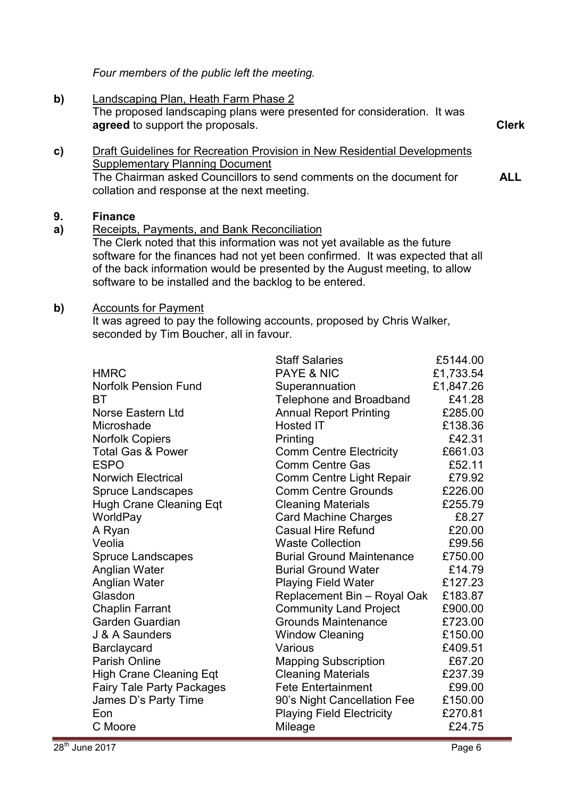*Four members of the public left the meeting.* 

**b)** Landscaping Plan, Heath Farm Phase 2 The proposed landscaping plans were presented for consideration. It was **agreed** to support the proposals. **Clerk**

**c)** Draft Guidelines for Recreation Provision in New Residential Developments Supplementary Planning Document The Chairman asked Councillors to send comments on the document for collation and response at the next meeting. **ALL** 

#### **9. Finance**

**a)**  Receipts, Payments, and Bank Reconciliation

The Clerk noted that this information was not yet available as the future software for the finances had not yet been confirmed. It was expected that all of the back information would be presented by the August meeting, to allow software to be installed and the backlog to be entered.

#### **b)** Accounts for Payment

It was agreed to pay the following accounts, proposed by Chris Walker, seconded by Tim Boucher, all in favour.

|                                  | <b>Staff Salaries</b>            | £5144.00  |
|----------------------------------|----------------------------------|-----------|
| <b>HMRC</b>                      | <b>PAYE &amp; NIC</b>            | £1,733.54 |
| <b>Norfolk Pension Fund</b>      | Superannuation                   | £1,847.26 |
| ВT                               | Telephone and Broadband          | £41.28    |
| Norse Eastern Ltd                | <b>Annual Report Printing</b>    | £285.00   |
| Microshade                       | <b>Hosted IT</b>                 | £138.36   |
| <b>Norfolk Copiers</b>           | Printing                         | £42.31    |
| <b>Total Gas &amp; Power</b>     | <b>Comm Centre Electricity</b>   | £661.03   |
| <b>ESPO</b>                      | <b>Comm Centre Gas</b>           | £52.11    |
| <b>Norwich Electrical</b>        | Comm Centre Light Repair         | £79.92    |
| <b>Spruce Landscapes</b>         | <b>Comm Centre Grounds</b>       | £226.00   |
| <b>Hugh Crane Cleaning Eqt</b>   | <b>Cleaning Materials</b>        | £255.79   |
| WorldPay                         | <b>Card Machine Charges</b>      | £8.27     |
| A Ryan                           | <b>Casual Hire Refund</b>        | £20.00    |
| Veolia                           | <b>Waste Collection</b>          | £99.56    |
| <b>Spruce Landscapes</b>         | <b>Burial Ground Maintenance</b> | £750.00   |
| Anglian Water                    | <b>Burial Ground Water</b>       | £14.79    |
| Anglian Water                    | <b>Playing Field Water</b>       | £127.23   |
| Glasdon                          | Replacement Bin - Royal Oak      | £183.87   |
| <b>Chaplin Farrant</b>           | <b>Community Land Project</b>    | £900.00   |
| Garden Guardian                  | <b>Grounds Maintenance</b>       | £723.00   |
| J & A Saunders                   | <b>Window Cleaning</b>           | £150.00   |
| Barclaycard                      | Various                          | £409.51   |
| <b>Parish Online</b>             | <b>Mapping Subscription</b>      | £67.20    |
| <b>High Crane Cleaning Eqt</b>   | <b>Cleaning Materials</b>        | £237.39   |
| <b>Fairy Tale Party Packages</b> | <b>Fete Entertainment</b>        | £99.00    |
| James D's Party Time             | 90's Night Cancellation Fee      | £150.00   |
| Eon                              | <b>Playing Field Electricity</b> | £270.81   |
| C Moore                          | Mileage                          | £24.75    |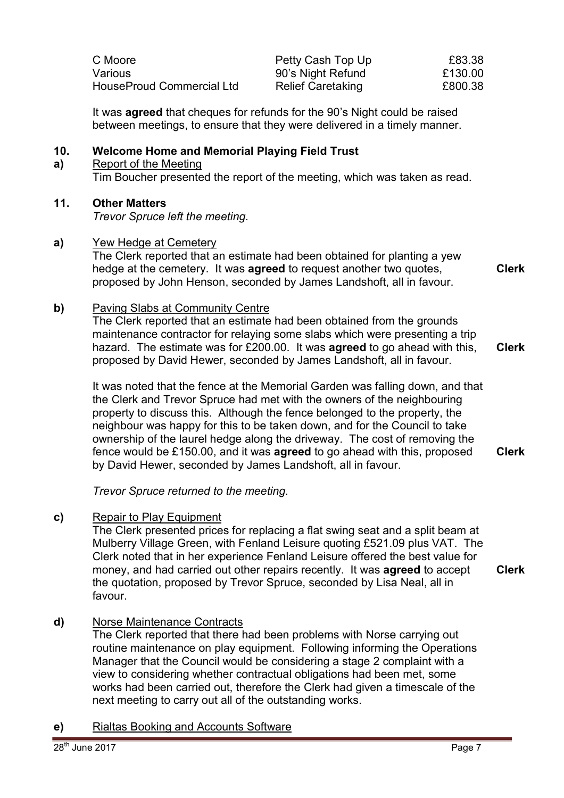| C Moore                   | Petty Cash Top Up        | £83.38  |
|---------------------------|--------------------------|---------|
| Various                   | 90's Night Refund        | £130.00 |
| HouseProud Commercial Ltd | <b>Relief Caretaking</b> | £800.38 |

It was **agreed** that cheques for refunds for the 90's Night could be raised between meetings, to ensure that they were delivered in a timely manner.

#### **10. Welcome Home and Memorial Playing Field Trust**

**a)**  Report of the Meeting Tim Boucher presented the report of the meeting, which was taken as read.

## **11. Other Matters**

*Trevor Spruce left the meeting.* 

#### **a)** Yew Hedge at Cemetery

The Clerk reported that an estimate had been obtained for planting a yew hedge at the cemetery. It was **agreed** to request another two quotes, proposed by John Henson, seconded by James Landshoft, all in favour.

**b)** Paving Slabs at Community Centre

The Clerk reported that an estimate had been obtained from the grounds maintenance contractor for relaying some slabs which were presenting a trip hazard. The estimate was for £200.00. It was **agreed** to go ahead with this, proposed by David Hewer, seconded by James Landshoft, all in favour. **Clerk**

It was noted that the fence at the Memorial Garden was falling down, and that the Clerk and Trevor Spruce had met with the owners of the neighbouring property to discuss this. Although the fence belonged to the property, the neighbour was happy for this to be taken down, and for the Council to take ownership of the laurel hedge along the driveway. The cost of removing the fence would be £150.00, and it was **agreed** to go ahead with this, proposed by David Hewer, seconded by James Landshoft, all in favour. **Clerk**

*Trevor Spruce returned to the meeting.* 

#### **c)** Repair to Play Equipment

The Clerk presented prices for replacing a flat swing seat and a split beam at Mulberry Village Green, with Fenland Leisure quoting £521.09 plus VAT. The Clerk noted that in her experience Fenland Leisure offered the best value for money, and had carried out other repairs recently. It was **agreed** to accept the quotation, proposed by Trevor Spruce, seconded by Lisa Neal, all in favour. **Clerk**

#### **d)** Norse Maintenance Contracts

The Clerk reported that there had been problems with Norse carrying out routine maintenance on play equipment. Following informing the Operations Manager that the Council would be considering a stage 2 complaint with a view to considering whether contractual obligations had been met, some works had been carried out, therefore the Clerk had given a timescale of the next meeting to carry out all of the outstanding works.

**e)** Rialtas Booking and Accounts Software

**Clerk**